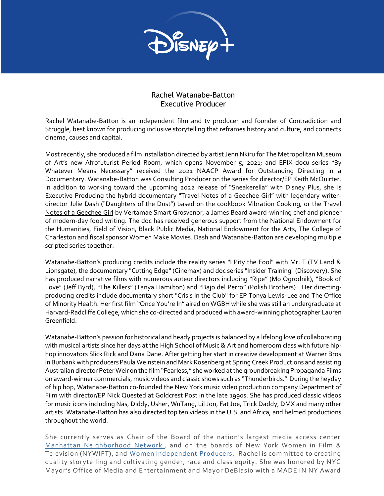

## Rachel Watanabe-Batton Executive Producer

Rachel Watanabe-Batton is an independent film and tv producer and founder of Contradiction and Struggle, best known for producing inclusive storytelling that reframes history and culture, and connects cinema, causes and capital.

Most recently, she produced a film installation directed by artist Jenn Nkiru for The Metropolitan Museum of Art's new Afrofuturist Period Room, which opens November 5, 2021; and EPIX docu-series "By Whatever Means Necessary" received the 2021 NAACP Award for Outstanding Directing in a Documentary. Watanabe-Batton was Consulting Producer on the series for director/EP Keith McQuirter. In addition to working toward the upcoming 2022 release of "Sneakerella" with Disney Plus, she is Executive Producing the hybrid documentary "Travel Notes of a Geechee Girl" with legendary writerdirector Julie Dash ("Daughters of the Dust") based on the cookbook Vibration Cooking, or the Travel Notes of a Geechee Girl by Vertamae Smart Grosvenor, a James Beard award-winning chef and pioneer of modern-day food writing. The doc has received generous support from the National Endowment for the Humanities, Field of Vision, Black Public Media, National Endowment for the Arts, The College of Charleston and fiscal sponsor Women Make Movies. Dash and Watanabe-Batton are developing multiple scripted series together.

Watanabe-Batton's producing credits include the reality series "I Pity the Fool" with Mr. T (TV Land & Lionsgate), the documentary "Cutting Edge" (Cinemax) and doc series "Insider Training" (Discovery). She has produced narrative films with numerous auteur directors including "Ripe" (Mo Ogrodnik), "Book of Love" (Jeff Byrd), "The Killers" (Tanya Hamilton) and "Bajo del Perro" (Polish Brothers). Her directingproducing credits include documentary short "Crisis in the Club" for EP Tonya Lewis-Lee and The Office of Minority Health. Her first film "Once You're In" aired on WGBH while she was still an undergraduate at Harvard-Radcliffe College, which she co-directed and produced with award-winning photographer Lauren Greenfield.

Watanabe-Batton's passion for historical and heady projects is balanced by a lifelong love of collaborating with musical artists since her days at the High School of Music & Art and homeroom class with future hiphop innovators Slick Rick and Dana Dane. After getting her start in creative development at Warner Bros in Burbank with producers Paula Weinstein and Mark Rosenberg at Spring Creek Productions and assisting Australian director Peter Weir on the film "Fearless," she worked at the groundbreaking Propaganda Films on award-winner commercials, music videos and classic shows such as "Thunderbirds." During the heyday of hip hop, Watanabe-Batton co-founded the New York music video production company Department of Film with director/EP Nick Quested at Goldcrest Post in the late 1990s. She has produced classic videos for music icons including Nas, Diddy, Usher, WuTang, Lil Jon, Fat Joe, Trick Daddy, DMX and many other artists. Watanabe-Batton has also directed top ten videos in the U.S. and Africa, and helmed productions throughout the world.

She currently serves as Chair of the Board of the nation's largest media access center Manhattan [Neighborhood](https://www.mnn.org/about) Network , and on the boards of New York Women in Film & Television (NYWIFT), and Women [Independent](https://www.womenindependentproducers.org/home) [Producers.](https://www.womenindependentproducers.org/home) Rachel is committed to creating quality storytelling and cultivating gender, race and class equity. She was honored by NYC Mayor's Office of Media and Entertainment and Mayor DeBlasio with a MADE IN NY Award